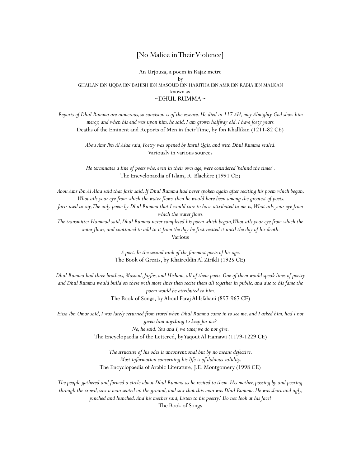## [No Malice in Their Violence]

An Urjouza, a poem in Rajaz metre by GHAILAN IBN UQBA IBN BAHISH IBN MASOUD IBN HARITHA IBN AMR IBN RABIA IBN MALKAN known as  $\sim$ DHUL RUMMA $\sim$ 

*Reports of Dhul Rumma are numerous, so concision is of the essence. He died in 117 AH, may Almighty God show him mercy, and when his end was upon him, he said, I am grown halfway old. I have forty years.*  Deaths of the Eminent and Reports of Men in their Time, by Ibn Khallikan (1211-82 CE)

> *Abou Amr Ibn Al Alaa said, Poetry was opened by Imrul Qais, and with Dhul Rumma sealed.*  Variously in various sources

> *He terminates a line of poets who, even in their own age, were considered 'behind the times'.*  The Encyclopaedia of Islam, R. Blachère (1991 CE)

*Abou Amr Ibn Al Alaa said that Jarir said, If Dhul Rumma had never spoken again after reciting his poem which began, What ails your eye from which the water flows, then he would have been among the greatest of poets.* 

*Jarir used to say, The only poem by Dhul Rumma that I would care to have attributed to me is, What ails your eye from which the water flows.* 

*The transmitter Hammad said, Dhul Rumma never completed his poem which began, What ails your eye from which the water flows, and continued to add to it from the day he first recited it until the day of his death.*  Various

> *A poet. In the second rank of the foremost poets of his age.*  The Book of Greats, by Khaireddin Al Zirikli (1925 CE)

*Dhul Rumma had three brothers, Masoud, Jarfas, and Hisham, all of them poets. One of them would speak lines of poetry and Dhul Rumma would build on these with more lines then recite them all together in public, and due to his fame the poem would be attributed to him.*  The Book of Songs, by Aboul Faraj Al Isfahani (897-967 CE)

*Eissa Ibn Omar said, I was lately returned from travel when Dhul Rumma came in to see me, and I asked him, had I not given him anything to keep for me? No, he said. You and I, we take; we do not give.*  The Encyclopaedia of the Lettered, by Yaqout Al Hamawi (1179-1229 CE)

> *The structure of his odes is unconventional but by no means defective. Most information concerning his life is of dubious validity.*  The Encyclopaedia of Arabic Literature, J.E. Montgomery (1998 CE)

*The people gathered and formed a circle about Dhul Rumma as he recited to them. His mother, passing by and peering through the crowd, saw a man seated on the ground, and saw that this man was Dhul Rumma. He was short and ugly, pinched and hunched. And his mother said, Listen to his poetry! Do not look at his face!*  The Book of Songs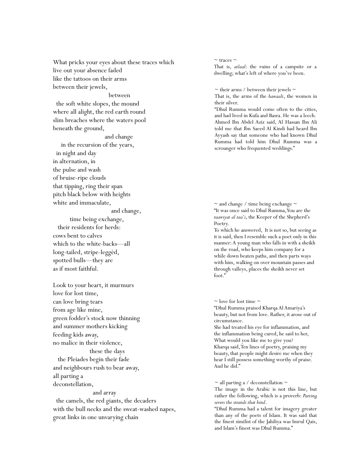What pricks your eyes about these traces which live out your absence faded like the tattoos on their arms between their jewels,

between

 the soft white slopes, the mound where all alight, the red earth round slim breaches where the waters pool beneath the ground,

and change

and change,

 in the recursion of the years, in night and day in alternation, in the pulse and wash of bruise-ripe clouds that tipping, ring their span pitch black below with heights white and immaculate,

 time being exchange, their residents for herds: cows bent to calves which to the white-backs—all long-tailed, stripe-leggèd, spotted bulls—they are as if most faithful.

Look to your heart, it murmurs love for lost time, can love bring tears from age like mine, green fodder's stock now thinning and summer mothers kicking feeding kids away, no malice in their violence, these the days

 the Pleiades begin their fade and neighbours rush to bear away, all parting a deconstellation,

## and array

 the camels, the red giants, the decaders with the bull necks and the sweat-washed napes, great links in one unvarying chain

## $\sim$ traces  $\sim$

That is, *atlaal*: the ruins of a campsite or a dwelling; what's left of where you've been.

 $\sim$  their arms / between their jewels  $\sim$ 

That is, the arms of the *hawaali*, the women in their silver.

"Dhul Rumma would come often to the cities, and had lived in Kufa and Basra. He was a leech. Ahmed Ibn Abdel Aziz said, Al Hassan Ibn Ali told me that Ibn Saeed Al Kindi had heard Ibn Ayyash say that someone who had known Dhul Rumma had told him Dhul Rumma was a scrounger who frequented weddings."

 $\sim$  and change / time being exchange  $\sim$ "It was once said to Dhul Rumma, You are the *raawiyat al raa'i*, the Keeper of the Shepherd's Poetry.

To which he answered, It is not so, but seeing as it is said, then I resemble such a poet only in this manner: A young man who falls in with a sheikh on the road, who keeps him company for a while down beaten paths, and then parts ways with him, walking on over mountain passes and through valleys, places the sheikh never set foot."

 $\sim$  love for lost time  $\sim$ 

"Dhul Rumma praised Kharqa Al Amariya's beauty, but not from love. Rather, it arose out of circumstance.

She had treated his eye for inflammation, and the inflammation being cured, he said to her, What would you like me to give you? Kharqa said, Ten lines of poetry, praising my beauty, that people might desire me when they hear I still possess something worthy of praise. And he did."

 $\sim$  all parting a / deconstellation  $\sim$ 

The image in the Arabic is not this line, but rather the following, which is a proverb: *Parting severs the strands that bind*.

"Dhul Rumma had a talent for imagery greater than any of the poets of Islam. It was said that the finest similist of the Jahiliya was Imrul Qais, and Islam's finest was Dhul Rumma."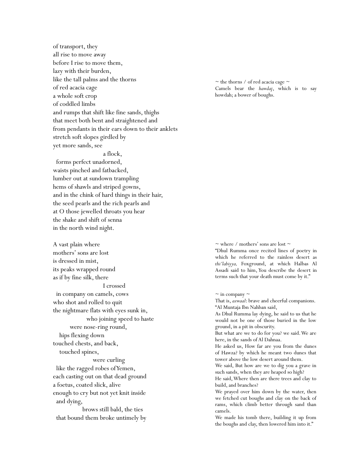of transport, they all rise to move away before I rise to move them, lazy with their burden, like the tall palms and the thorns of red acacia cage a whole soft crop of coddled limbs and rumps that shift like fine sands, thighs that meet both bent and straightened and from pendants in their ears down to their anklets stretch soft slopes girdled by yet more sands, see

## a flock,

 forms perfect unadorned, waists pinched and fatbacked, lumber out at sundown trampling hems of shawls and striped gowns, and in the chink of hard things in their hair, the seed pearls and the rich pearls and at O those jewelled throats you hear the shake and shift of senna in the north wind night.

A vast plain where mothers' sons are lost is dressed in mist, its peaks wrapped round as if by fine silk, there I crossed in company on camels, cows who shot and rolled to quit the nightmare flats with eyes sunk in, who joining speed to haste were nose-ring round, hips flexing down touched chests, and back, touched spines,

 were curling like the ragged robes of Yemen, each casting out on that dead ground a foetus, coated slick, alive enough to cry but not yet knit inside and dying,

 brows still bald, the ties that bound them broke untimely by

 $\sim$  the thorns / of red acacia cage  $\sim$ Camels bear the *hawdaj*, which is to say howdah; a bower of boughs.

 $\sim$  where / mothers' sons are lost  $\sim$ 

"Dhul Rumma once recited lines of poetry in which he referred to the rainless desert as *thi'labiyya,* Foxground, at which Halbas Al Assadi said to him, You describe the desert in terms such that your death must come by it."

 $\sim$  in company  $\sim$ 

That is, *azwaal*: brave and cheerful companions. "Al Muntaja Ibn Nahban said,

As Dhul Rumma lay dying, he said to us that he would not be one of those buried in the low ground, in a pit in obscurity.

But what are we to do for you? we said. We are here, in the sands of Al Dahnaa.

He asked us, How far are you from the dunes of Hawza? by which he meant two dunes that tower above the low desert around them.

We said, But how are we to dig you a grave in such sands, when they are heaped so high?

He said, Where then are there trees and clay to build, and branches?

We prayed over him down by the water, then we fetched cut boughs and clay on the back of rams, which climb better through sand than camels.

We made his tomb there, building it up from the boughs and clay, then lowered him into it."